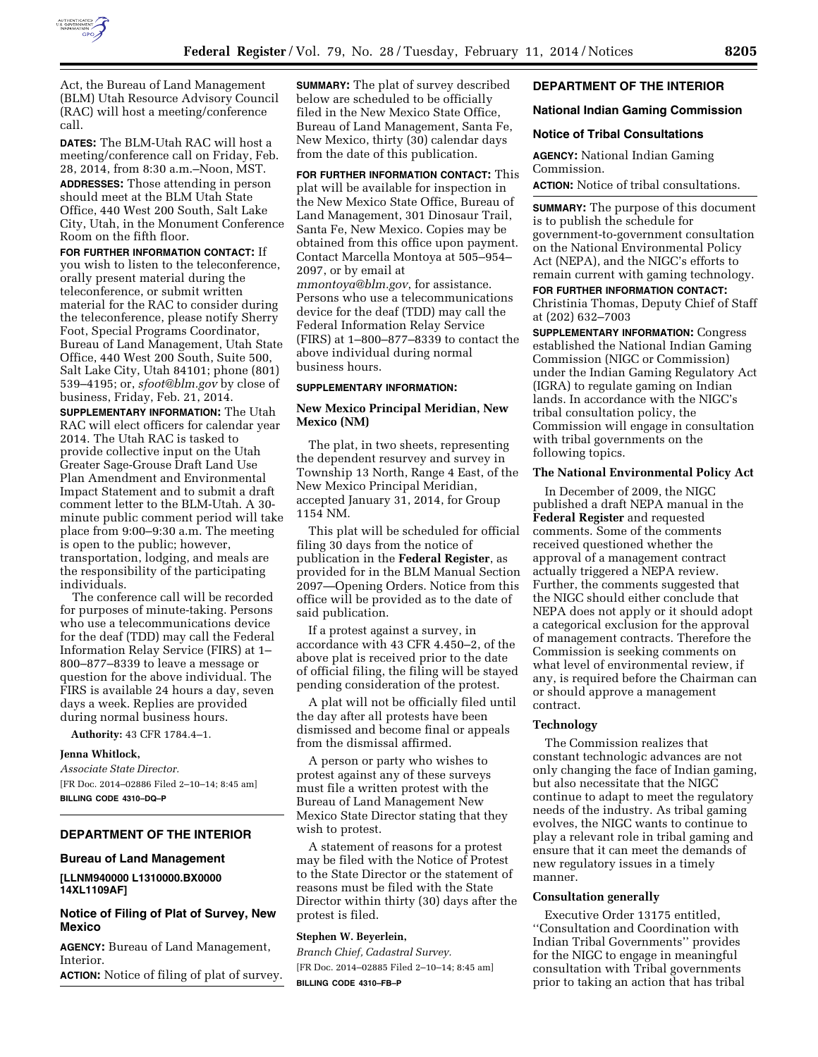

Act, the Bureau of Land Management (BLM) Utah Resource Advisory Council (RAC) will host a meeting/conference call.

**DATES:** The BLM-Utah RAC will host a meeting/conference call on Friday, Feb. 28, 2014, from 8:30 a.m.–Noon, MST. **ADDRESSES:** Those attending in person should meet at the BLM Utah State Office, 440 West 200 South, Salt Lake City, Utah, in the Monument Conference Room on the fifth floor.

**FOR FURTHER INFORMATION CONTACT:** If you wish to listen to the teleconference, orally present material during the teleconference, or submit written material for the RAC to consider during the teleconference, please notify Sherry Foot, Special Programs Coordinator, Bureau of Land Management, Utah State Office, 440 West 200 South, Suite 500, Salt Lake City, Utah 84101; phone (801) 539–4195; or, *[sfoot@blm.gov](mailto:sfoot@blm.gov)* by close of business, Friday, Feb. 21, 2014.

**SUPPLEMENTARY INFORMATION:** The Utah RAC will elect officers for calendar year 2014. The Utah RAC is tasked to provide collective input on the Utah Greater Sage-Grouse Draft Land Use Plan Amendment and Environmental Impact Statement and to submit a draft comment letter to the BLM-Utah. A 30 minute public comment period will take place from 9:00–9:30 a.m. The meeting is open to the public; however, transportation, lodging, and meals are the responsibility of the participating individuals.

The conference call will be recorded for purposes of minute-taking. Persons who use a telecommunications device for the deaf (TDD) may call the Federal Information Relay Service (FIRS) at 1– 800–877–8339 to leave a message or question for the above individual. The FIRS is available 24 hours a day, seven days a week. Replies are provided during normal business hours.

**Authority:** 43 CFR 1784.4–1.

### **Jenna Whitlock,**

*Associate State Director.*  [FR Doc. 2014–02886 Filed 2–10–14; 8:45 am] **BILLING CODE 4310–DQ–P** 

## **DEPARTMENT OF THE INTERIOR**

#### **Bureau of Land Management**

**[LLNM940000 L1310000.BX0000 14XL1109AF]** 

# **Notice of Filing of Plat of Survey, New Mexico**

**AGENCY:** Bureau of Land Management, Interior.

**ACTION:** Notice of filing of plat of survey.

**SUMMARY:** The plat of survey described below are scheduled to be officially filed in the New Mexico State Office, Bureau of Land Management, Santa Fe, New Mexico, thirty (30) calendar days from the date of this publication.

**FOR FURTHER INFORMATION CONTACT:** This plat will be available for inspection in the New Mexico State Office, Bureau of

Land Management, 301 Dinosaur Trail, Santa Fe, New Mexico. Copies may be obtained from this office upon payment. Contact Marcella Montoya at 505–954– 2097, or by email at *[mmontoya@blm.gov](mailto:mmontoya@blm.gov)*, for assistance. Persons who use a telecommunications device for the deaf (TDD) may call the Federal Information Relay Service (FIRS) at 1–800–877–8339 to contact the above individual during normal

#### **SUPPLEMENTARY INFORMATION:**

business hours.

# **New Mexico Principal Meridian, New Mexico (NM)**

The plat, in two sheets, representing the dependent resurvey and survey in Township 13 North, Range 4 East, of the New Mexico Principal Meridian, accepted January 31, 2014, for Group 1154 NM.

This plat will be scheduled for official filing 30 days from the notice of publication in the **Federal Register**, as provided for in the BLM Manual Section 2097—Opening Orders. Notice from this office will be provided as to the date of said publication.

If a protest against a survey, in accordance with 43 CFR 4.450–2, of the above plat is received prior to the date of official filing, the filing will be stayed pending consideration of the protest.

A plat will not be officially filed until the day after all protests have been dismissed and become final or appeals from the dismissal affirmed.

A person or party who wishes to protest against any of these surveys must file a written protest with the Bureau of Land Management New Mexico State Director stating that they wish to protest.

A statement of reasons for a protest may be filed with the Notice of Protest to the State Director or the statement of reasons must be filed with the State Director within thirty (30) days after the protest is filed.

#### **Stephen W. Beyerlein,**

*Branch Chief, Cadastral Survey.*  [FR Doc. 2014–02885 Filed 2–10–14; 8:45 am] **BILLING CODE 4310–FB–P** 

#### **DEPARTMENT OF THE INTERIOR**

## **National Indian Gaming Commission**

#### **Notice of Tribal Consultations**

**AGENCY:** National Indian Gaming Commission.

**ACTION:** Notice of tribal consultations.

**SUMMARY:** The purpose of this document is to publish the schedule for government-to-government consultation on the National Environmental Policy Act (NEPA), and the NIGC's efforts to remain current with gaming technology.

**FOR FURTHER INFORMATION CONTACT:**  Christinia Thomas, Deputy Chief of Staff at (202) 632–7003

**SUPPLEMENTARY INFORMATION:** Congress established the National Indian Gaming Commission (NIGC or Commission) under the Indian Gaming Regulatory Act (IGRA) to regulate gaming on Indian lands. In accordance with the NIGC's tribal consultation policy, the Commission will engage in consultation with tribal governments on the following topics.

#### **The National Environmental Policy Act**

In December of 2009, the NIGC published a draft NEPA manual in the **Federal Register** and requested comments. Some of the comments received questioned whether the approval of a management contract actually triggered a NEPA review. Further, the comments suggested that the NIGC should either conclude that NEPA does not apply or it should adopt a categorical exclusion for the approval of management contracts. Therefore the Commission is seeking comments on what level of environmental review, if any, is required before the Chairman can or should approve a management contract.

#### **Technology**

The Commission realizes that constant technologic advances are not only changing the face of Indian gaming, but also necessitate that the NIGC continue to adapt to meet the regulatory needs of the industry. As tribal gaming evolves, the NIGC wants to continue to play a relevant role in tribal gaming and ensure that it can meet the demands of new regulatory issues in a timely manner.

#### **Consultation generally**

Executive Order 13175 entitled, ''Consultation and Coordination with Indian Tribal Governments'' provides for the NIGC to engage in meaningful consultation with Tribal governments prior to taking an action that has tribal